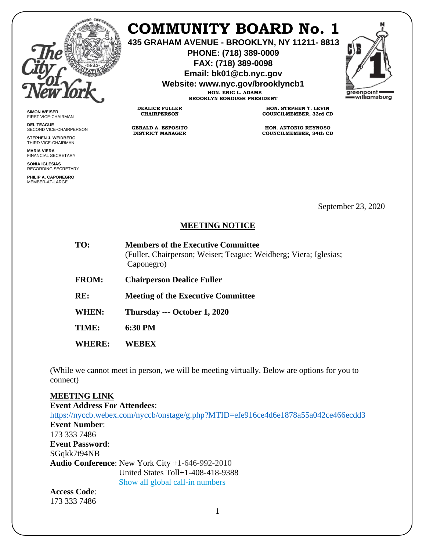

**SIMON WEISER** FIRST VICE-CHAIRMAN **DEL TEAGUE**

SECOND VICE-CHAIRPERSON **STEPHEN J. WEIDBERG** THIRD VICE-CHAIRMAN **MARIA VIERA** FINANCIAL SECRETARY **SONIA IGLESIAS** RECORDING SECRETARY **PHILIP A. CAPONEGRO** MEMBER-AT-LARGE

## **COMMUNITY BOARD No. 1**

**435 GRAHAM AVENUE - BROOKLYN, NY 11211- 8813**

**PHONE: (718) 389-0009 FAX: (718) 389-0098**

**Email: bk01@cb.nyc.gov**

**Website: www.nyc.gov/brooklyncb1**

**HON. ERIC L. ADAMS BROOKLYN BOROUGH PRESIDENT**

**DEALICE FULLER CHAIRPERSON**

**GERALD A. ESPOSITO DISTRICT MANAGER**

**HON. STEPHEN T. LEVIN COUNCILMEMBER, 33rd CD**

**HON. ANTONIO REYNOSO COUNCILMEMBER, 34th CD**

September 23, 2020

## **MEETING NOTICE**

| TO:          | <b>Members of the Executive Committee</b><br>(Fuller, Chairperson; Weiser; Teague; Weidberg; Viera; Iglesias;<br>Caponegro) |
|--------------|-----------------------------------------------------------------------------------------------------------------------------|
| <b>FROM:</b> | <b>Chairperson Dealice Fuller</b>                                                                                           |
| RE:          | <b>Meeting of the Executive Committee</b>                                                                                   |
| <b>WHEN:</b> | Thursday --- October 1, 2020                                                                                                |
| TIME:        | 6:30 PM                                                                                                                     |
| WHERE:       | WEBEX                                                                                                                       |

(While we cannot meet in person, we will be meeting virtually. Below are options for you to connect)

## **MEETING LINK**

**Event Address For Attendees**: <https://nyccb.webex.com/nyccb/onstage/g.php?MTID=efe916ce4d6e1878a55a042ce466ecdd3> **Event Number**: 173 333 7486 **Event Password**: SGqkk7t94NB **Audio Conference**: New York City +1-646-992-2010 United States Toll+1-408-418-9388 Show all global call-in numbers **Access Code**:

173 333 7486